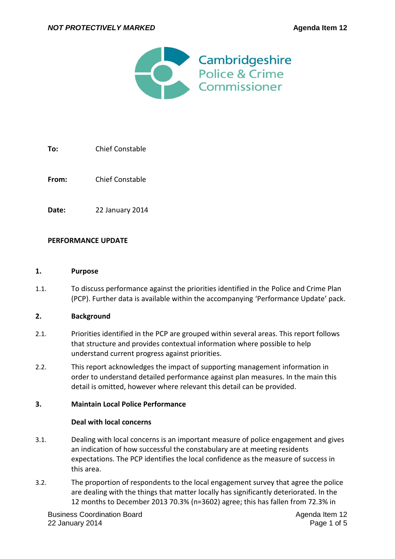

# **To:** Chief Constable

**From:** Chief Constable

**Date:** 22 January 2014

### **PERFORMANCE UPDATE**

#### **1. Purpose**

1.1. To discuss performance against the priorities identified in the Police and Crime Plan (PCP). Further data is available within the accompanying 'Performance Update' pack.

### **2. Background**

- 2.1. Priorities identified in the PCP are grouped within several areas. This report follows that structure and provides contextual information where possible to help understand current progress against priorities.
- 2.2. This report acknowledges the impact of supporting management information in order to understand detailed performance against plan measures. In the main this detail is omitted, however where relevant this detail can be provided.

### **3. Maintain Local Police Performance**

### **Deal with local concerns**

- 3.1. Dealing with local concerns is an important measure of police engagement and gives an indication of how successful the constabulary are at meeting residents expectations. The PCP identifies the local confidence as the measure of success in this area.
- 3.2. The proportion of respondents to the local engagement survey that agree the police are dealing with the things that matter locally has significantly deteriorated. In the 12 months to December 2013 70.3% (n=3602) agree; this has fallen from 72.3% in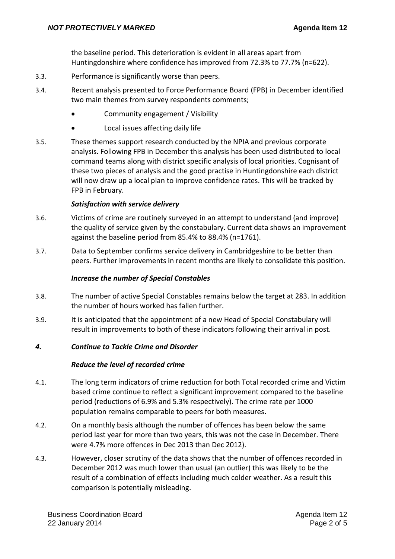the baseline period. This deterioration is evident in all areas apart from Huntingdonshire where confidence has improved from 72.3% to 77.7% (n=622).

- 3.3. Performance is significantly worse than peers.
- 3.4. Recent analysis presented to Force Performance Board (FPB) in December identified two main themes from survey respondents comments;
	- Community engagement / Visibility
	- Local issues affecting daily life
- 3.5. These themes support research conducted by the NPIA and previous corporate analysis. Following FPB in December this analysis has been used distributed to local command teams along with district specific analysis of local priorities. Cognisant of these two pieces of analysis and the good practise in Huntingdonshire each district will now draw up a local plan to improve confidence rates. This will be tracked by FPB in February.

### *Satisfaction with service delivery*

- 3.6. Victims of crime are routinely surveyed in an attempt to understand (and improve) the quality of service given by the constabulary. Current data shows an improvement against the baseline period from 85.4% to 88.4% (n=1761).
- 3.7. Data to September confirms service delivery in Cambridgeshire to be better than peers. Further improvements in recent months are likely to consolidate this position.

### *Increase the number of Special Constables*

- 3.8. The number of active Special Constables remains below the target at 283. In addition the number of hours worked has fallen further.
- 3.9. It is anticipated that the appointment of a new Head of Special Constabulary will result in improvements to both of these indicators following their arrival in post.

### *4. Continue to Tackle Crime and Disorder*

### *Reduce the level of recorded crime*

- 4.1. The long term indicators of crime reduction for both Total recorded crime and Victim based crime continue to reflect a significant improvement compared to the baseline period (reductions of 6.9% and 5.3% respectively). The crime rate per 1000 population remains comparable to peers for both measures.
- 4.2. On a monthly basis although the number of offences has been below the same period last year for more than two years, this was not the case in December. There were 4.7% more offences in Dec 2013 than Dec 2012).
- 4.3. However, closer scrutiny of the data shows that the number of offences recorded in December 2012 was much lower than usual (an outlier) this was likely to be the result of a combination of effects including much colder weather. As a result this comparison is potentially misleading.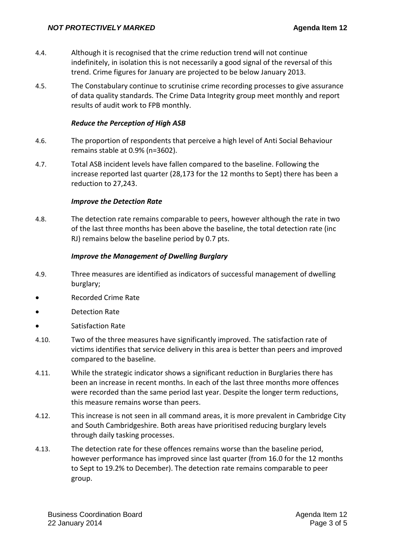- 4.4. Although it is recognised that the crime reduction trend will not continue indefinitely, in isolation this is not necessarily a good signal of the reversal of this trend. Crime figures for January are projected to be below January 2013.
- 4.5. The Constabulary continue to scrutinise crime recording processes to give assurance of data quality standards. The Crime Data Integrity group meet monthly and report results of audit work to FPB monthly.

### *Reduce the Perception of High ASB*

- 4.6. The proportion of respondents that perceive a high level of Anti Social Behaviour remains stable at 0.9% (n=3602).
- 4.7. Total ASB incident levels have fallen compared to the baseline. Following the increase reported last quarter (28,173 for the 12 months to Sept) there has been a reduction to 27,243.

### *Improve the Detection Rate*

4.8. The detection rate remains comparable to peers, however although the rate in two of the last three months has been above the baseline, the total detection rate (inc RJ) remains below the baseline period by 0.7 pts.

### *Improve the Management of Dwelling Burglary*

- 4.9. Three measures are identified as indicators of successful management of dwelling burglary;
- Recorded Crime Rate
- Detection Rate
- Satisfaction Rate
- 4.10. Two of the three measures have significantly improved. The satisfaction rate of victims identifies that service delivery in this area is better than peers and improved compared to the baseline.
- 4.11. While the strategic indicator shows a significant reduction in Burglaries there has been an increase in recent months. In each of the last three months more offences were recorded than the same period last year. Despite the longer term reductions, this measure remains worse than peers.
- 4.12. This increase is not seen in all command areas, it is more prevalent in Cambridge City and South Cambridgeshire. Both areas have prioritised reducing burglary levels through daily tasking processes.
- 4.13. The detection rate for these offences remains worse than the baseline period, however performance has improved since last quarter (from 16.0 for the 12 months to Sept to 19.2% to December). The detection rate remains comparable to peer group.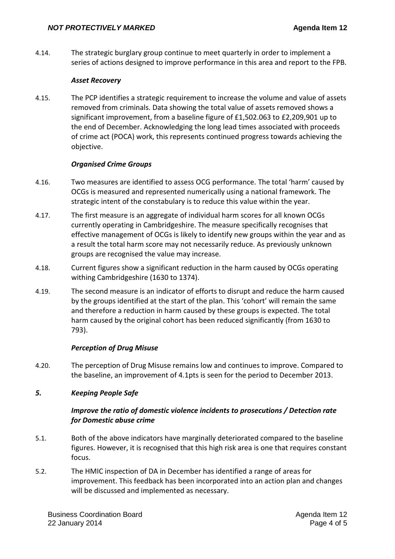4.14. The strategic burglary group continue to meet quarterly in order to implement a series of actions designed to improve performance in this area and report to the FPB.

### *Asset Recovery*

4.15. The PCP identifies a strategic requirement to increase the volume and value of assets removed from criminals. Data showing the total value of assets removed shows a significant improvement, from a baseline figure of £1,502.063 to £2,209,901 up to the end of December. Acknowledging the long lead times associated with proceeds of crime act (POCA) work, this represents continued progress towards achieving the objective.

### *Organised Crime Groups*

- 4.16. Two measures are identified to assess OCG performance. The total 'harm' caused by OCGs is measured and represented numerically using a national framework. The strategic intent of the constabulary is to reduce this value within the year.
- 4.17. The first measure is an aggregate of individual harm scores for all known OCGs currently operating in Cambridgeshire. The measure specifically recognises that effective management of OCGs is likely to identify new groups within the year and as a result the total harm score may not necessarily reduce. As previously unknown groups are recognised the value may increase.
- 4.18. Current figures show a significant reduction in the harm caused by OCGs operating withing Cambridgeshire (1630 to 1374).
- 4.19. The second measure is an indicator of efforts to disrupt and reduce the harm caused by the groups identified at the start of the plan. This 'cohort' will remain the same and therefore a reduction in harm caused by these groups is expected. The total harm caused by the original cohort has been reduced significantly (from 1630 to 793).

# *Perception of Drug Misuse*

4.20. The perception of Drug Misuse remains low and continues to improve. Compared to the baseline, an improvement of 4.1pts is seen for the period to December 2013.

# *5. Keeping People Safe*

# *Improve the ratio of domestic violence incidents to prosecutions / Detection rate for Domestic abuse crime*

- 5.1. Both of the above indicators have marginally deteriorated compared to the baseline figures. However, it is recognised that this high risk area is one that requires constant focus.
- 5.2. The HMIC inspection of DA in December has identified a range of areas for improvement. This feedback has been incorporated into an action plan and changes will be discussed and implemented as necessary.